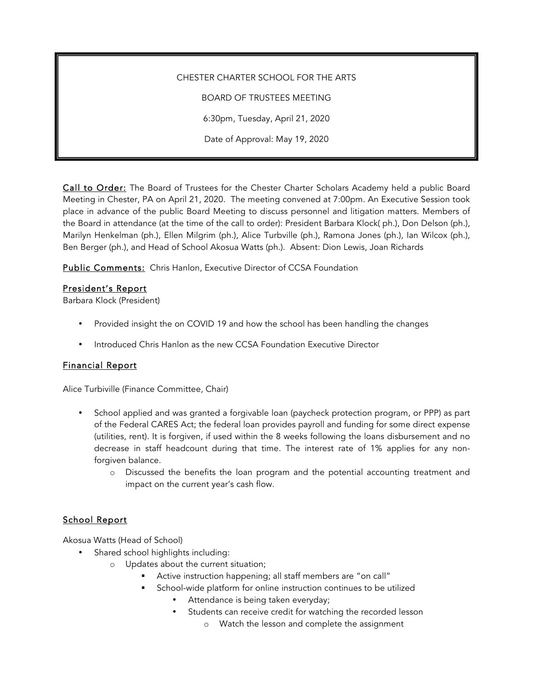# CHESTER CHARTER SCHOOL FOR THE ARTS

BOARD OF TRUSTEES MEETING

6:30pm, Tuesday, April 21, 2020

Date of Approval: May 19, 2020

Call to Order: The Board of Trustees for the Chester Charter Scholars Academy held a public Board Meeting in Chester, PA on April 21, 2020. The meeting convened at 7:00pm. An Executive Session took place in advance of the public Board Meeting to discuss personnel and litigation matters. Members of the Board in attendance (at the time of the call to order): President Barbara Klock( ph.), Don Delson (ph.), Marilyn Henkelman (ph.), Ellen Milgrim (ph.), Alice Turbville (ph.), Ramona Jones (ph.), Ian Wilcox (ph.), Ben Berger (ph.), and Head of School Akosua Watts (ph.). Absent: Dion Lewis, Joan Richards

Public Comments: Chris Hanlon, Executive Director of CCSA Foundation

### President's Report

Barbara Klock (President)

- Provided insight the on COVID 19 and how the school has been handling the changes
- Introduced Chris Hanlon as the new CCSA Foundation Executive Director

# Financial Report

Alice Turbiville (Finance Committee, Chair)

- School applied and was granted a forgivable loan (paycheck protection program, or PPP) as part of the Federal CARES Act; the federal loan provides payroll and funding for some direct expense (utilities, rent). It is forgiven, if used within the 8 weeks following the loans disbursement and no decrease in staff headcount during that time. The interest rate of 1% applies for any nonforgiven balance.
	- o Discussed the benefits the loan program and the potential accounting treatment and impact on the current year's cash flow.

# School Report

Akosua Watts (Head of School)

- Shared school highlights including:
	- o Updates about the current situation;
		- § Active instruction happening; all staff members are "on call"
		- § School-wide platform for online instruction continues to be utilized
			- Attendance is being taken everyday;
			- Students can receive credit for watching the recorded lesson
				- o Watch the lesson and complete the assignment